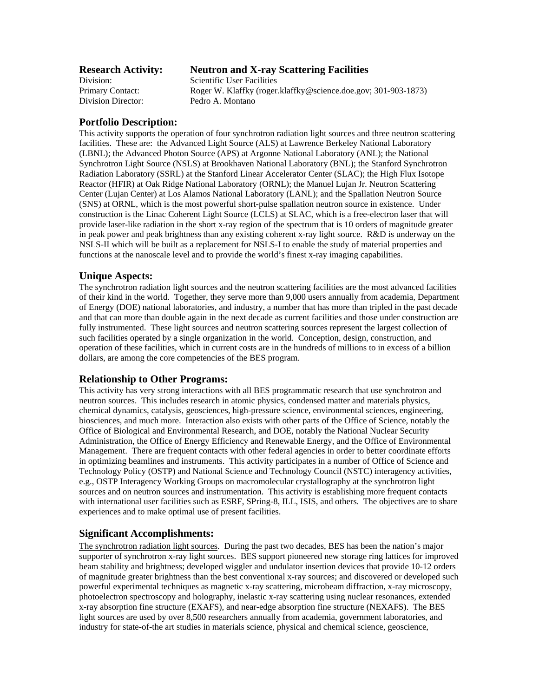#### **Research Activity: Neutron and X-ray Scattering Facilities**

Division: Scientific User Facilities Primary Contact: Roger W. Klaffky (roger.klaffky@science.doe.gov; 301-903-1873) Division Director: Pedro A. Montano

## **Portfolio Description:**

This activity supports the operation of four synchrotron radiation light sources and three neutron scattering facilities. These are: the Advanced Light Source (ALS) at Lawrence Berkeley National Laboratory (LBNL); the Advanced Photon Source (APS) at Argonne National Laboratory (ANL); the National Synchrotron Light Source (NSLS) at Brookhaven National Laboratory (BNL); the Stanford Synchrotron Radiation Laboratory (SSRL) at the Stanford Linear Accelerator Center (SLAC); the High Flux Isotope Reactor (HFIR) at Oak Ridge National Laboratory (ORNL); the Manuel Lujan Jr. Neutron Scattering Center (Lujan Center) at Los Alamos National Laboratory (LANL); and the Spallation Neutron Source (SNS) at ORNL, which is the most powerful short-pulse spallation neutron source in existence. Under construction is the Linac Coherent Light Source (LCLS) at SLAC, which is a free-electron laser that will provide laser-like radiation in the short x-ray region of the spectrum that is 10 orders of magnitude greater in peak power and peak brightness than any existing coherent x-ray light source. R&D is underway on the NSLS-II which will be built as a replacement for NSLS-I to enable the study of material properties and functions at the nanoscale level and to provide the world's finest x-ray imaging capabilities.

## **Unique Aspects:**

The synchrotron radiation light sources and the neutron scattering facilities are the most advanced facilities of their kind in the world. Together, they serve more than 9,000 users annually from academia, Department of Energy (DOE) national laboratories, and industry, a number that has more than tripled in the past decade and that can more than double again in the next decade as current facilities and those under construction are fully instrumented. These light sources and neutron scattering sources represent the largest collection of such facilities operated by a single organization in the world. Conception, design, construction, and operation of these facilities, which in current costs are in the hundreds of millions to in excess of a billion dollars, are among the core competencies of the BES program.

#### **Relationship to Other Programs:**

This activity has very strong interactions with all BES programmatic research that use synchrotron and neutron sources. This includes research in atomic physics, condensed matter and materials physics, chemical dynamics, catalysis, geosciences, high-pressure science, environmental sciences, engineering, biosciences, and much more. Interaction also exists with other parts of the Office of Science, notably the Office of Biological and Environmental Research, and DOE, notably the National Nuclear Security Administration, the Office of Energy Efficiency and Renewable Energy, and the Office of Environmental Management. There are frequent contacts with other federal agencies in order to better coordinate efforts in optimizing beamlines and instruments. This activity participates in a number of Office of Science and Technology Policy (OSTP) and National Science and Technology Council (NSTC) interagency activities, e.g., OSTP Interagency Working Groups on macromolecular crystallography at the synchrotron light sources and on neutron sources and instrumentation. This activity is establishing more frequent contacts with international user facilities such as ESRF, SPring-8, ILL, ISIS, and others. The objectives are to share experiences and to make optimal use of present facilities.

## **Significant Accomplishments:**

The synchrotron radiation light sources. During the past two decades, BES has been the nation's major supporter of synchrotron x-ray light sources. BES support pioneered new storage ring lattices for improved beam stability and brightness; developed wiggler and undulator insertion devices that provide 10-12 orders of magnitude greater brightness than the best conventional x-ray sources; and discovered or developed such powerful experimental techniques as magnetic x-ray scattering, microbeam diffraction, x-ray microscopy, photoelectron spectroscopy and holography, inelastic x-ray scattering using nuclear resonances, extended x-ray absorption fine structure (EXAFS), and near-edge absorption fine structure (NEXAFS). The BES light sources are used by over 8,500 researchers annually from academia, government laboratories, and industry for state-of-the art studies in materials science, physical and chemical science, geoscience,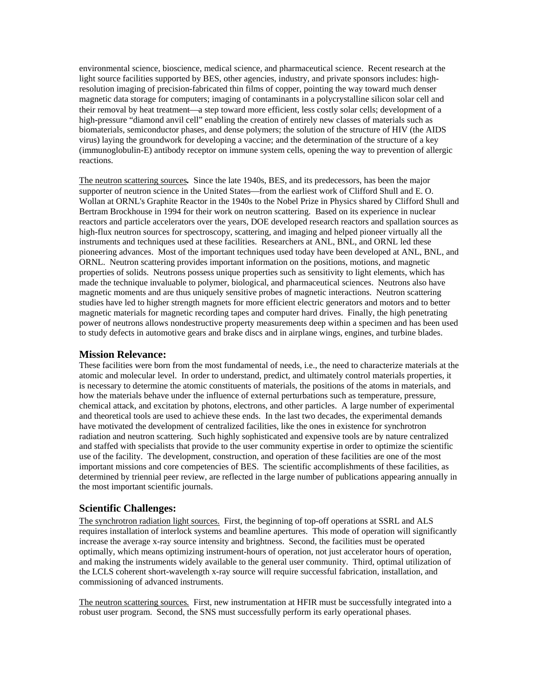environmental science, bioscience, medical science, and pharmaceutical science. Recent research at the light source facilities supported by BES, other agencies, industry, and private sponsors includes: highresolution imaging of precision-fabricated thin films of copper, pointing the way toward much denser magnetic data storage for computers; imaging of contaminants in a polycrystalline silicon solar cell and their removal by heat treatment—a step toward more efficient, less costly solar cells; development of a high-pressure "diamond anvil cell" enabling the creation of entirely new classes of materials such as biomaterials, semiconductor phases, and dense polymers; the solution of the structure of HIV (the AIDS virus) laying the groundwork for developing a vaccine; and the determination of the structure of a key (immunoglobulin-E) antibody receptor on immune system cells, opening the way to prevention of allergic reactions.

The neutron scattering sources*.* Since the late 1940s, BES, and its predecessors, has been the major supporter of neutron science in the United States—from the earliest work of Clifford Shull and E.O. Wollan at ORNL's Graphite Reactor in the 1940s to the Nobel Prize in Physics shared by Clifford Shull and Bertram Brockhouse in 1994 for their work on neutron scattering. Based on its experience in nuclear reactors and particle accelerators over the years, DOE developed research reactors and spallation sources as high-flux neutron sources for spectroscopy, scattering, and imaging and helped pioneer virtually all the instruments and techniques used at these facilities. Researchers at ANL, BNL, and ORNL led these pioneering advances. Most of the important techniques used today have been developed at ANL, BNL, and ORNL. Neutron scattering provides important information on the positions, motions, and magnetic properties of solids. Neutrons possess unique properties such as sensitivity to light elements, which has made the technique invaluable to polymer, biological, and pharmaceutical sciences. Neutrons also have magnetic moments and are thus uniquely sensitive probes of magnetic interactions. Neutron scattering studies have led to higher strength magnets for more efficient electric generators and motors and to better magnetic materials for magnetic recording tapes and computer hard drives. Finally, the high penetrating power of neutrons allows nondestructive property measurements deep within a specimen and has been used to study defects in automotive gears and brake discs and in airplane wings, engines, and turbine blades.

#### **Mission Relevance:**

These facilities were born from the most fundamental of needs, i.e., the need to characterize materials at the atomic and molecular level. In order to understand, predict, and ultimately control materials properties, it is necessary to determine the atomic constituents of materials, the positions of the atoms in materials, and how the materials behave under the influence of external perturbations such as temperature, pressure, chemical attack, and excitation by photons, electrons, and other particles. A large number of experimental and theoretical tools are used to achieve these ends. In the last two decades, the experimental demands have motivated the development of centralized facilities, like the ones in existence for synchrotron radiation and neutron scattering. Such highly sophisticated and expensive tools are by nature centralized and staffed with specialists that provide to the user community expertise in order to optimize the scientific use of the facility. The development, construction, and operation of these facilities are one of the most important missions and core competencies of BES. The scientific accomplishments of these facilities, as determined by triennial peer review, are reflected in the large number of publications appearing annually in the most important scientific journals.

## **Scientific Challenges:**

The synchrotron radiation light sources. First, the beginning of top-off operations at SSRL and ALS requires installation of interlock systems and beamline apertures. This mode of operation will significantly increase the average x-ray source intensity and brightness. Second, the facilities must be operated optimally, which means optimizing instrument-hours of operation, not just accelerator hours of operation, and making the instruments widely available to the general user community. Third, optimal utilization of the LCLS coherent short-wavelength x-ray source will require successful fabrication, installation, and commissioning of advanced instruments.

The neutron scattering sources*.* First, new instrumentation at HFIR must be successfully integrated into a robust user program. Second, the SNS must successfully perform its early operational phases.